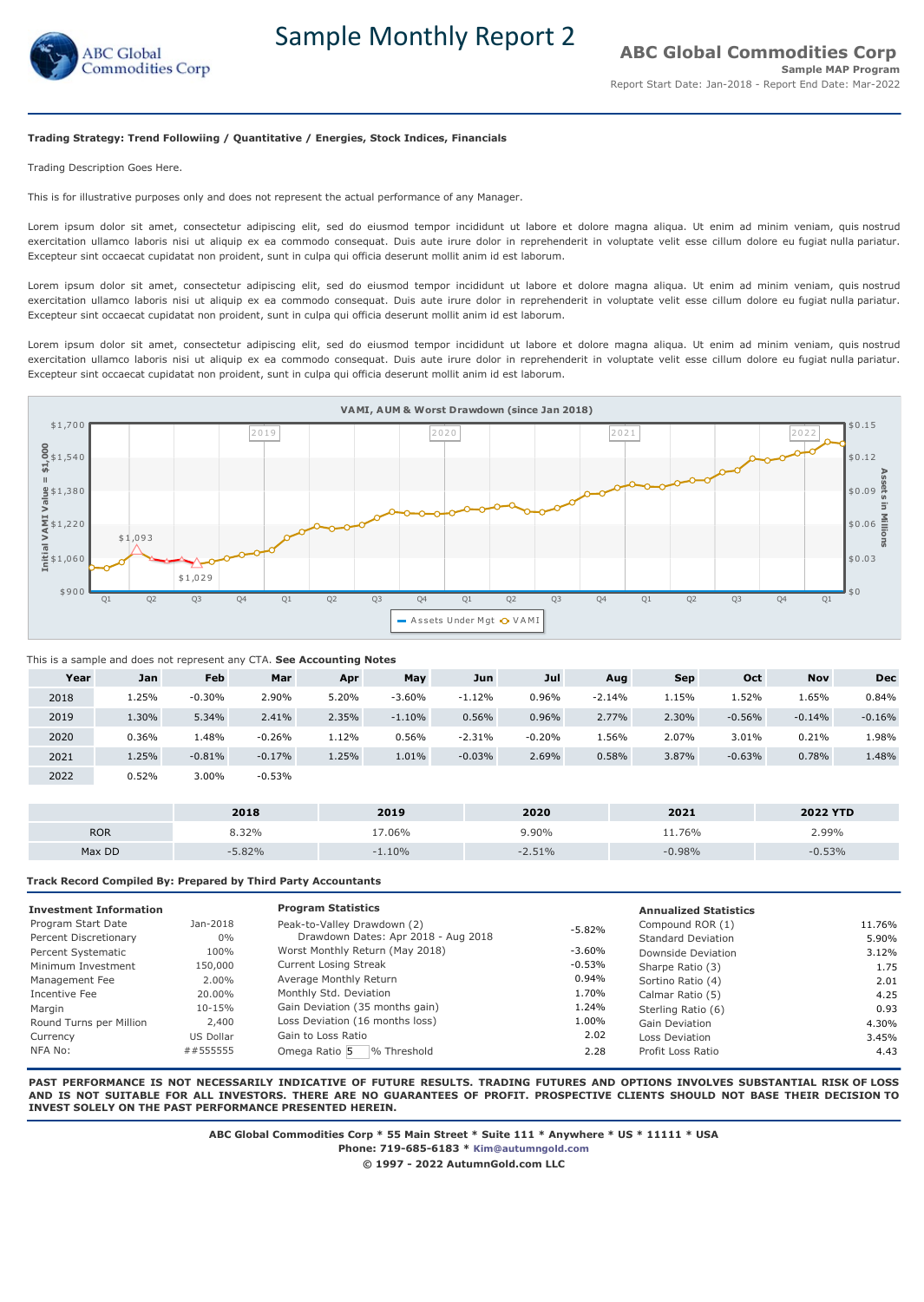

Sample Monthly Report 2

## **Trading Strategy: Trend Followiing / Quantitative / Energies, Stock Indices, Financials**

Trading Description Goes Here.

This is for illustrative purposes only and does not represent the actual performance of any Manager.

Lorem ipsum dolor sit amet, consectetur adipiscing elit, sed do eiusmod tempor incididunt ut labore et dolore magna aliqua. Ut enim ad minim veniam, quis nostrud exercitation ullamco laboris nisi ut aliquip ex ea commodo consequat. Duis aute irure dolor in reprehenderit in voluptate velit esse cillum dolore eu fugiat nulla pariatur. Excepteur sint occaecat cupidatat non proident, sunt in culpa qui officia deserunt mollit anim id est laborum.

Lorem ipsum dolor sit amet, consectetur adipiscing elit, sed do eiusmod tempor incididunt ut labore et dolore magna aliqua. Ut enim ad minim veniam, quis nostrud exercitation ullamco laboris nisi ut aliquip ex ea commodo consequat. Duis aute irure dolor in reprehenderit in voluptate velit esse cillum dolore eu fugiat nulla pariatur. Excepteur sint occaecat cupidatat non proident, sunt in culpa qui officia deserunt mollit anim id est laborum.

Lorem ipsum dolor sit amet, consectetur adipiscing elit, sed do eiusmod tempor incididunt ut labore et dolore magna aliqua. Ut enim ad minim veniam, quis nostrud exercitation ullamco laboris nisi ut aliquip ex ea commodo consequat. Duis aute irure dolor in reprehenderit in voluptate velit esse cillum dolore eu fugiat nulla pariatur. Excepteur sint occaecat cupidatat non proident, sunt in culpa qui officia deserunt mollit anim id est laborum.



# This is a sample and does not represent any CTA. **See Accounting Notes**

| Year | Jan   | <b>Feb</b> | Mar      | Apr   | May      | Jun      | Jul      | Aug      | Sep   | Oct      | <b>Nov</b> | <b>Dec</b> |
|------|-------|------------|----------|-------|----------|----------|----------|----------|-------|----------|------------|------------|
| 2018 | 1.25% | $-0.30%$   | 2.90%    | 5.20% | $-3.60%$ | $-1.12%$ | 0.96%    | $-2.14%$ | 1.15% | 1.52%    | 1.65%      | 0.84%      |
| 2019 | 1.30% | 5.34%      | 2.41%    | 2.35% | $-1.10%$ | 0.56%    | 0.96%    | 2.77%    | 2.30% | $-0.56%$ | $-0.14%$   | $-0.16%$   |
| 2020 | 0.36% | 1.48%      | $-0.26%$ | 1.12% | 0.56%    | $-2.31%$ | $-0.20%$ | 1.56%    | 2.07% | 3.01%    | 0.21%      | 1.98%      |
| 2021 | 1.25% | $-0.81%$   | $-0.17%$ | 1.25% | 1.01%    | $-0.03%$ | 2.69%    | 0.58%    | 3.87% | $-0.63%$ | 0.78%      | 1.48%      |
| 2022 | 0.52% | 3.00%      | $-0.53%$ |       |          |          |          |          |       |          |            |            |

|            | 2018 | 2019    | 2020 | 2021     | <b>2022 YTD</b> |
|------------|------|---------|------|----------|-----------------|
| <b>ROR</b> | 32%  | $.06\%$ | .90% | 76%      | .99%            |
| Max DD     | .82% | 10%     |      | $-0.98%$ | 53%             |

**Track Record Compiled By: Prepared by Third Party Accountants** 

| <b>Investment Information</b> |              | <b>Program Statistics</b>           |           | <b>Annualized Statistics</b> |        |
|-------------------------------|--------------|-------------------------------------|-----------|------------------------------|--------|
| Program Start Date            | Jan-2018     | Peak-to-Valley Drawdown (2)         | $-5.82%$  | Compound ROR (1)             | 11.76% |
| Percent Discretionary         | $0\%$        | Drawdown Dates: Apr 2018 - Aug 2018 |           | <b>Standard Deviation</b>    | 5.90%  |
| Percent Systematic            | 100%         | Worst Monthly Return (May 2018)     | $-3.60\%$ | Downside Deviation           | 3.12%  |
| Minimum Investment            | 150,000      | <b>Current Losing Streak</b>        | $-0.53%$  | Sharpe Ratio (3)             | 1.75   |
| Management Fee                | 2.00%        | Average Monthly Return              | $0.94\%$  | Sortino Ratio (4)            | 2.01   |
| Incentive Fee                 | 20.00%       | Monthly Std. Deviation              | 1.70%     | Calmar Ratio (5)             | 4.25   |
| Margin                        | 10-15%       | Gain Deviation (35 months gain)     | 1.24%     | Sterling Ratio (6)           | 0.93   |
| Round Turns per Million       | 2,400        | Loss Deviation (16 months loss)     | 1.00%     | <b>Gain Deviation</b>        | 4.30%  |
| Currency                      | US Dollar    | Gain to Loss Ratio                  | 2.02      | Loss Deviation               | 3.45%  |
| NFA No:                       | $\#$ #555555 | Omega Ratio 5<br>% Threshold        | 2.28      | Profit Loss Ratio            | 4.43   |

**PAST PERFORMANCE IS NOT NECESSARILY INDICATIVE OF FUTURE RESULTS. TRADING FUTURES AND OPTIONS INVOLVES SUBSTANTIAL RISK OF LOSS AND IS NOT SUITABLE FOR ALL INVESTORS. THERE ARE NO GUARANTEES OF PROFIT. PROSPECTIVE CLIENTS SHOULD NOT BASE THEIR DECISION TO INVEST SOLELY ON THE PAST PERFORMANCE PRESENTED HEREIN.**

**ABC Global Commodities Corp \* 55 Main Street \* Suite 111 \* Anywhere \* US \* 11111 \* USA**

**Phone: 719-685-6183 \* [Kim@autumngold.com](mailto:Kim@autumngold.com)**

**© 1997 - 2022 AutumnGold.com LLC**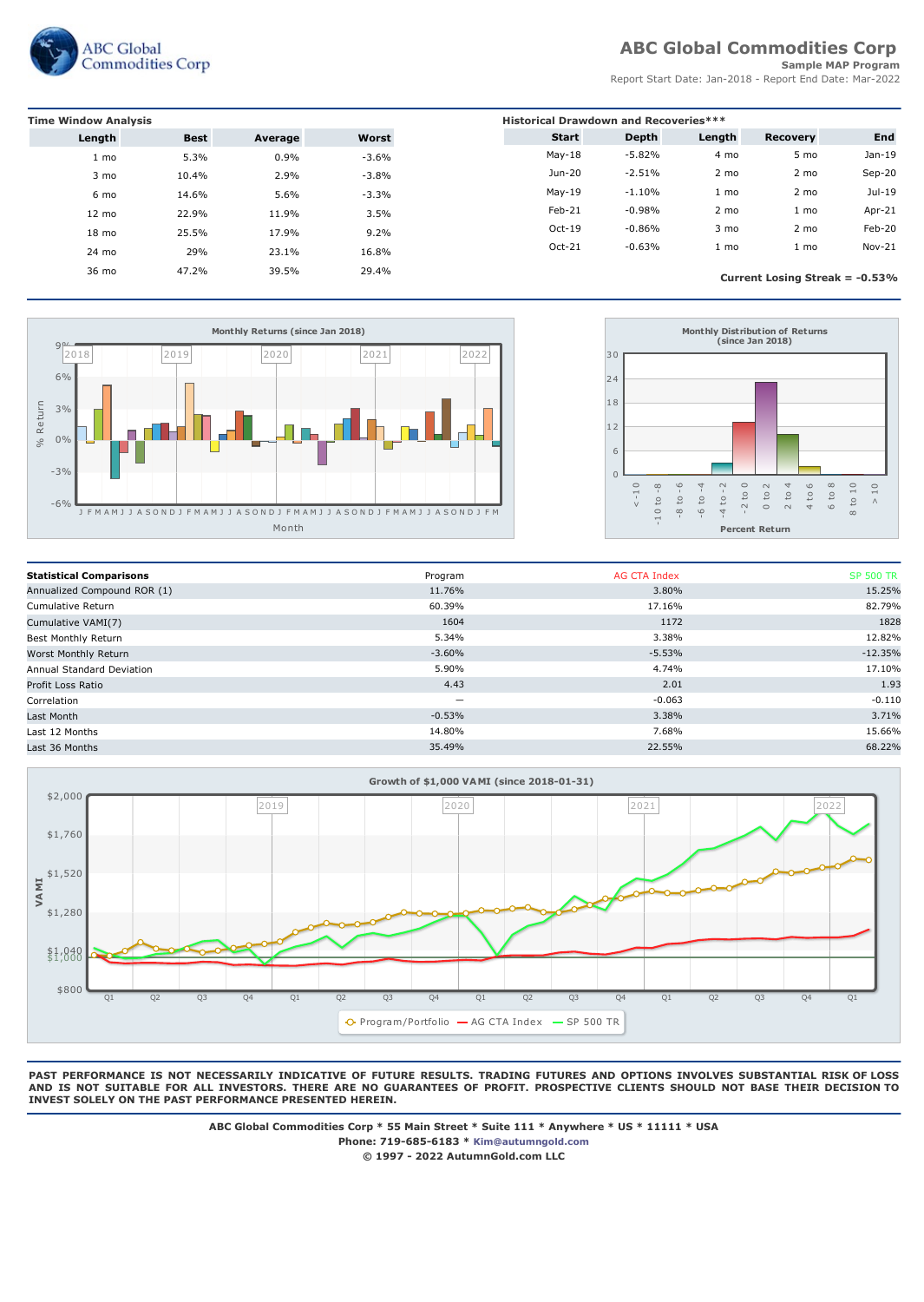

# **ABC Global Commodities Corp**

# **Sample MAP Program**

Report Start Date: Jan-2018 - Report End Date: Mar-2022

| <b>Time Window Analysis</b> | <b>Historical Drawdown and Recoveries***</b> |         |         |              |          |        |                                   |          |
|-----------------------------|----------------------------------------------|---------|---------|--------------|----------|--------|-----------------------------------|----------|
| Length                      | <b>Best</b>                                  | Average | Worst   | <b>Start</b> | Depth    | Length | Recovery                          | End      |
| 1 mo                        | 5.3%                                         | 0.9%    | $-3.6%$ | $May-18$     | $-5.82%$ | 4 mo   | 5 mo                              | $Jan-19$ |
| 3 mo                        | 10.4%                                        | 2.9%    | $-3.8%$ | Jun-20       | $-2.51%$ | 2 mo   | 2 mo                              | $Sep-20$ |
| 6 mo                        | 14.6%                                        | 5.6%    | $-3.3%$ | $May-19$     | $-1.10%$ | 1 mo   | 2 mo                              | Jul-19   |
| $12 \text{ mo}$             | 22.9%                                        | 11.9%   | 3.5%    | Feb-21       | $-0.98%$ | 2 mo   | 1 mo                              | Apr-21   |
| $18 \text{ mo}$             | 25.5%                                        | 17.9%   | 9.2%    | $Oct-19$     | $-0.86%$ | 3 mo   | 2 mo                              | Feb-20   |
| 24 mo                       | 29%                                          | 23.1%   | 16.8%   | Oct-21       | $-0.63%$ | 1 mo   | 1 mo                              | Nov-21   |
| 36 mo                       | 47.2%                                        | 39.5%   | 29.4%   |              |          |        | Current Losing Streak = $-0.53\%$ |          |





| <b>Statistical Comparisons</b> | Program                  | AG CTA Index | <b>SP 500 TR</b> |
|--------------------------------|--------------------------|--------------|------------------|
| Annualized Compound ROR (1)    | 11.76%                   | 3.80%        | 15.25%           |
| Cumulative Return              | 60.39%                   | 17.16%       | 82.79%           |
| Cumulative VAMI(7)             | 1604                     | 1172         | 1828             |
| Best Monthly Return            | 5.34%                    | 3.38%        | 12.82%           |
| Worst Monthly Return           | $-3.60%$                 | $-5.53%$     | $-12.35%$        |
| Annual Standard Deviation      | 5.90%                    | 4.74%        | 17.10%           |
| Profit Loss Ratio              | 4.43                     | 2.01         | 1.93             |
| Correlation                    | $\overline{\phantom{0}}$ | $-0.063$     | $-0.110$         |
| Last Month                     | $-0.53%$                 | 3.38%        | 3.71%            |
| Last 12 Months                 | 14.80%                   | 7.68%        | 15.66%           |
| Last 36 Months                 | 35.49%                   | 22.55%       | 68.22%           |
|                                |                          |              |                  |



**PAST PERFORMANCE IS NOT NECESSARILY INDICATIVE OF FUTURE RESULTS. TRADING FUTURES AND OPTIONS INVOLVES SUBSTANTIAL RISK OF LOSS AND IS NOT SUITABLE FOR ALL INVESTORS. THERE ARE NO GUARANTEES OF PROFIT. PROSPECTIVE CLIENTS SHOULD NOT BASE THEIR DECISION TO INVEST SOLELY ON THE PAST PERFORMANCE PRESENTED HEREIN.**

> **ABC Global Commodities Corp \* 55 Main Street \* Suite 111 \* Anywhere \* US \* 11111 \* USA Phone: 719-685-6183 \* [Kim@autumngold.com](mailto:Kim@autumngold.com) © 1997 - 2022 AutumnGold.com LLC**